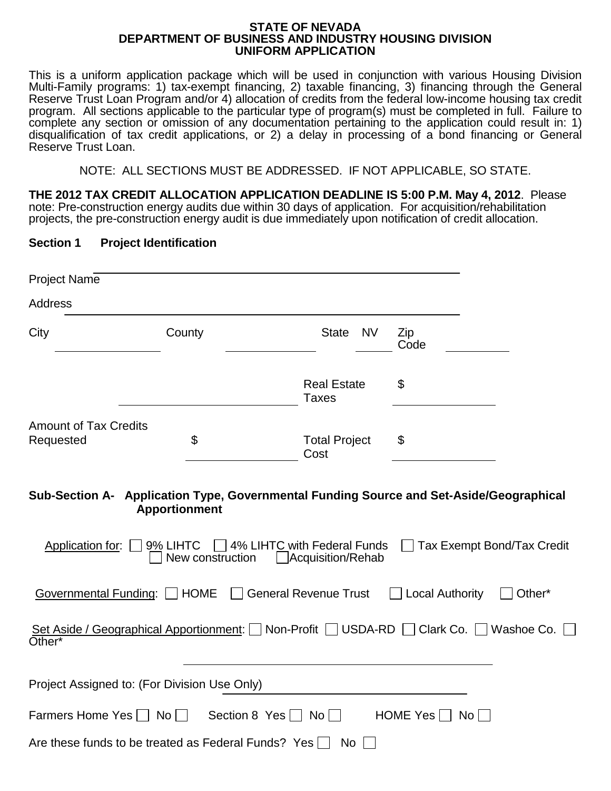#### **STATE OF NEVADA DEPARTMENT OF BUSINESS AND INDUSTRY HOUSING DIVISION UNIFORM APPLICATION**

This is a uniform application package which will be used in conjunction with various Housing Division Multi-Family programs: 1) tax-exempt financing, 2) taxable financing, 3) financing through the General Reserve Trust Loan Program and/or 4) allocation of credits from the federal low-income housing tax credit program. All sections applicable to the particular type of program(s) must be completed in full. Failure to complete any section or omission of any documentation pertaining to the application could result in: 1) disqualification of tax credit applications, or 2) a delay in processing of a bond financing or General Reserve Trust Loan.

NOTE: ALL SECTIONS MUST BE ADDRESSED. IF NOT APPLICABLE, SO STATE.

**THE 2012 TAX CREDIT ALLOCATION APPLICATION DEADLINE IS 5:00 P.M. May 4, 2012**. Please note: Pre-construction energy audits due within 30 days of application. For acquisition/rehabilitation projects, the pre-construction energy audit is due immediately upon notification of credit allocation.

#### **Section 1 Project Identification**

| <b>Project Name</b>                                 |                                                      |                                                  |                                                                                                                                              |
|-----------------------------------------------------|------------------------------------------------------|--------------------------------------------------|----------------------------------------------------------------------------------------------------------------------------------------------|
| <b>Address</b>                                      |                                                      |                                                  |                                                                                                                                              |
| City                                                | County                                               | <b>State</b><br><b>NV</b>                        | Zip<br>Code                                                                                                                                  |
|                                                     |                                                      | <b>Real Estate</b><br><b>Taxes</b>               | \$                                                                                                                                           |
| <b>Amount of Tax Credits</b><br>Requested           | \$                                                   | <b>Total Project</b><br>Cost                     | \$                                                                                                                                           |
| Application for:                                    | <b>Apportionment</b><br>9% LIHTC<br>New construction | 4% LIHTC with Federal Funds<br>Acquisition/Rehab | Sub-Section A- Application Type, Governmental Funding Source and Set-Aside/Geographical<br><b>Tax Exempt Bond/Tax Credit</b><br>$\mathbf{I}$ |
| Governmental Funding:   HOME                        |                                                      | <b>General Revenue Trust</b>                     | <b>Local Authority</b><br>Other*                                                                                                             |
| Other*                                              |                                                      |                                                  | Set Aside / Geographical Apportionment: Non-Profit USDA-RD Clark Co. Nashoe Co.                                                              |
| Project Assigned to: (For Division Use Only)        |                                                      |                                                  |                                                                                                                                              |
| Farmers Home Yes $\Box$ No $\Box$                   |                                                      | Section 8 Yes $\Box$ No $\Box$                   | HOME Yes $\Box$<br>$No$ $\vert$                                                                                                              |
| Are these funds to be treated as Federal Funds? Yes |                                                      | No                                               |                                                                                                                                              |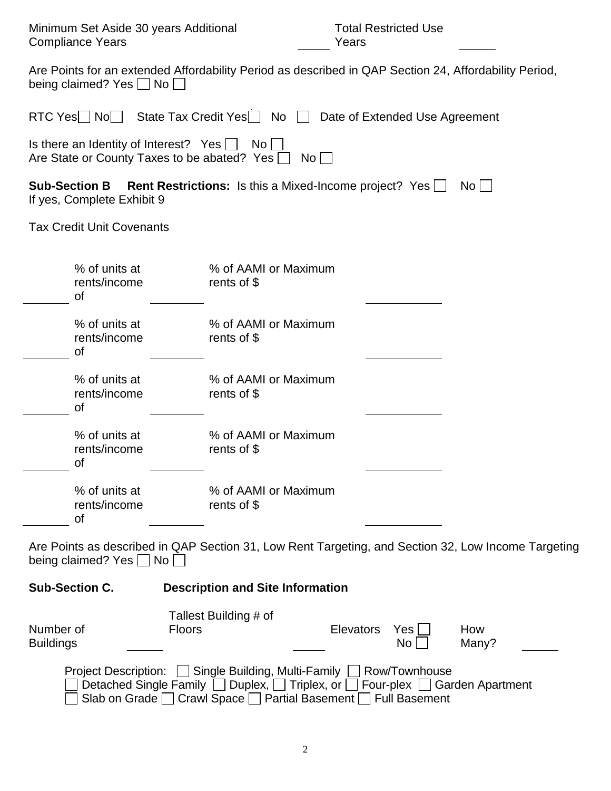| Minimum Set Aside 30 years Additional<br><b>Compliance Years</b>                                                                             |                                                                                                                            | <b>Total Restricted Use</b><br>Years             |                                                                                                     |  |  |  |
|----------------------------------------------------------------------------------------------------------------------------------------------|----------------------------------------------------------------------------------------------------------------------------|--------------------------------------------------|-----------------------------------------------------------------------------------------------------|--|--|--|
| Are Points for an extended Affordability Period as described in QAP Section 24, Affordability Period,<br>being claimed? Yes $\Box$ No $\Box$ |                                                                                                                            |                                                  |                                                                                                     |  |  |  |
| RTC Yes $\Box$ No $\Box$                                                                                                                     | State Tax Credit Yes $\Box$ No $\Box$                                                                                      | Date of Extended Use Agreement                   |                                                                                                     |  |  |  |
| Is there an Identity of Interest? Yes $\Box$<br>Are State or County Taxes to be abated? Yes $\Box$                                           | No <sub>1</sub>                                                                                                            | $\overline{N}$ o $\vert$ $\vert$                 |                                                                                                     |  |  |  |
| <b>Sub-Section B</b><br>If yes, Complete Exhibit 9                                                                                           | <b>Rent Restrictions:</b> Is this a Mixed-Income project? Yes                                                              |                                                  | $\overline{N}$ o $\overline{1}$                                                                     |  |  |  |
| <b>Tax Credit Unit Covenants</b>                                                                                                             |                                                                                                                            |                                                  |                                                                                                     |  |  |  |
| % of units at<br>rents/income<br>οf                                                                                                          | % of AAMI or Maximum<br>rents of \$                                                                                        |                                                  |                                                                                                     |  |  |  |
| % of units at<br>rents/income<br>οf                                                                                                          | % of AAMI or Maximum<br>rents of $$$                                                                                       |                                                  |                                                                                                     |  |  |  |
| % of units at<br>rents/income<br>οf                                                                                                          | % of AAMI or Maximum<br>rents of $$$                                                                                       |                                                  |                                                                                                     |  |  |  |
| % of units at<br>rents/income<br>Οf                                                                                                          | % of AAMI or Maximum<br>rents of $$$                                                                                       |                                                  |                                                                                                     |  |  |  |
| % of units at<br>rents/income<br>Οf                                                                                                          | % of AAMI or Maximum<br>rents of $$$                                                                                       |                                                  |                                                                                                     |  |  |  |
| being claimed? Yes No                                                                                                                        |                                                                                                                            |                                                  | Are Points as described in QAP Section 31, Low Rent Targeting, and Section 32, Low Income Targeting |  |  |  |
| <b>Sub-Section C.</b>                                                                                                                        | <b>Description and Site Information</b>                                                                                    |                                                  |                                                                                                     |  |  |  |
| Number of<br><b>Buildings</b>                                                                                                                | Tallest Building # of<br><b>Floors</b>                                                                                     | Elevators<br>Yes <sub>l</sub><br>No <sub>1</sub> | How<br>Many?                                                                                        |  |  |  |
| Detached Single Family                                                                                                                       | Project Description: Single Building, Multi-Family ■ Row/Townhouse<br>Duplex, $\Box$ Triplex, or $\Box$<br><b>Contract</b> | Four-plex [                                      | <b>Garden Apartment</b>                                                                             |  |  |  |

 $\bigsqcup$  Slab on Grade  $\bigsqcup$  Crawl Space  $\bigsqcup$  Partial Basement  $\bigsqcup$  Full Basement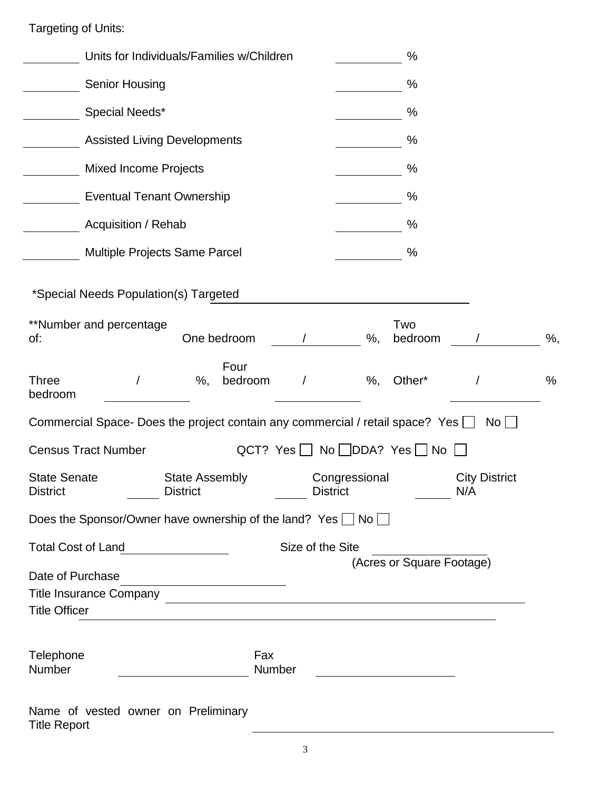Targeting of Units:

| Units for Individuals/Families w/Children                                                      | %                                                                                                                                                                                           |
|------------------------------------------------------------------------------------------------|---------------------------------------------------------------------------------------------------------------------------------------------------------------------------------------------|
| <b>Senior Housing</b>                                                                          | %                                                                                                                                                                                           |
| Special Needs*                                                                                 | %                                                                                                                                                                                           |
| <b>Assisted Living Developments</b>                                                            | %                                                                                                                                                                                           |
| <b>Mixed Income Projects</b>                                                                   | ℅                                                                                                                                                                                           |
| <b>Eventual Tenant Ownership</b>                                                               | %                                                                                                                                                                                           |
| Acquisition / Rehab                                                                            | %                                                                                                                                                                                           |
| Multiple Projects Same Parcel                                                                  | %                                                                                                                                                                                           |
|                                                                                                |                                                                                                                                                                                             |
| *Special Needs Population(s) Targeted                                                          |                                                                                                                                                                                             |
| **Number and percentage<br>One bedroom<br>of:                                                  | Two<br>$\%$ ,<br>$\%$ ,<br>bedroom                                                                                                                                                          |
| Four<br><b>Three</b><br>$\%$ ,<br>bedroom<br>$\prime$<br>bedroom                               | $\%$ ,<br>Other*<br>$\%$                                                                                                                                                                    |
| Commercial Space- Does the project contain any commercial / retail space? Yes $\Box$           | No                                                                                                                                                                                          |
| <b>Census Tract Number</b>                                                                     | QCT? Yes $\Box$ No $\Box$ DDA? Yes $\Box$ No $\Box$                                                                                                                                         |
| <b>State Senate</b><br><b>State Assembly</b><br><b>District</b><br><b>District</b>             | Congressional<br><b>City District</b><br><b>District</b><br>N/A                                                                                                                             |
| Does the Sponsor/Owner have ownership of the land? Yes $\Box$ No $\Box$                        |                                                                                                                                                                                             |
| <b>Total Cost of Land</b>                                                                      | Size of the Site                                                                                                                                                                            |
| Date of Purchase<br><u> 1989 - Johann Barn, amerikansk politiker (</u><br><b>Title Officer</b> | (Acres or Square Footage)<br>Title Insurance Company<br><u> Company</u><br>and the control of the control of the control of the control of the control of the control of the control of the |
| Telephone<br>Number                                                                            | Fax<br><b>Number</b>                                                                                                                                                                        |
| Name of vested owner on Preliminary<br><b>Title Report</b>                                     |                                                                                                                                                                                             |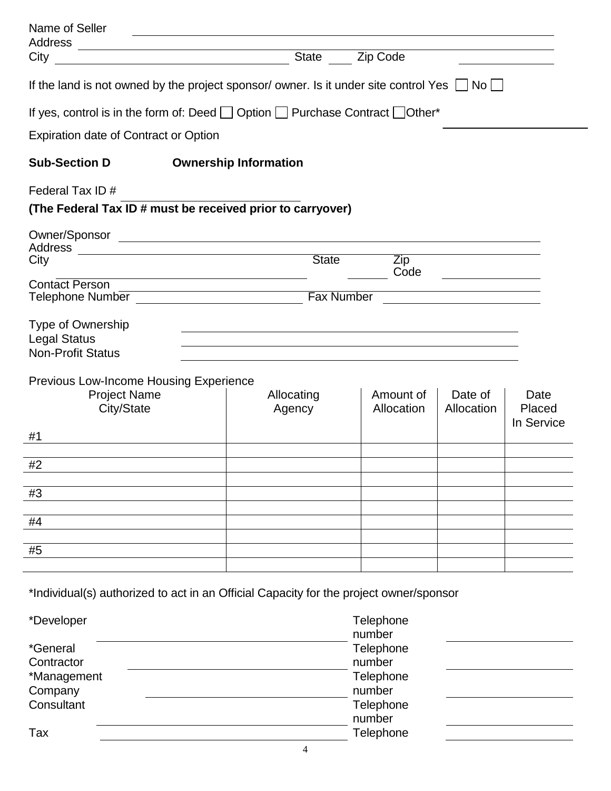| Name of Seller                                                                                       |                                                                                                                  |                   |                         |                                                                                                                       |                |  |
|------------------------------------------------------------------------------------------------------|------------------------------------------------------------------------------------------------------------------|-------------------|-------------------------|-----------------------------------------------------------------------------------------------------------------------|----------------|--|
| City                                                                                                 |                                                                                                                  |                   | State <b>Zip Code</b>   |                                                                                                                       |                |  |
| <u> 1980 - Johann Barn, fransk politik (d. 1980)</u>                                                 |                                                                                                                  |                   |                         |                                                                                                                       |                |  |
| If the land is not owned by the project sponsor/owner. Is it under site control Yes $\Box$ No $\Box$ |                                                                                                                  |                   |                         |                                                                                                                       |                |  |
| If yes, control is in the form of: Deed $\Box$ Option $\Box$ Purchase Contract $\Box$ Other*         |                                                                                                                  |                   |                         |                                                                                                                       |                |  |
| <b>Expiration date of Contract or Option</b>                                                         |                                                                                                                  |                   |                         |                                                                                                                       |                |  |
| <b>Sub-Section D</b>                                                                                 | <b>Ownership Information</b>                                                                                     |                   |                         |                                                                                                                       |                |  |
| Federal Tax ID#                                                                                      |                                                                                                                  |                   |                         |                                                                                                                       |                |  |
| (The Federal Tax ID # must be received prior to carryover)                                           |                                                                                                                  |                   |                         |                                                                                                                       |                |  |
|                                                                                                      |                                                                                                                  |                   |                         |                                                                                                                       |                |  |
|                                                                                                      |                                                                                                                  |                   |                         |                                                                                                                       |                |  |
| City                                                                                                 |                                                                                                                  | State             | Zip<br>Code             |                                                                                                                       |                |  |
| <b>Contact Person</b>                                                                                | <u> 1989 - Johann Barn, mars et al. (b. 1989)</u>                                                                |                   |                         | <u> 1989 - Johann Barbara, martin a</u>                                                                               |                |  |
|                                                                                                      |                                                                                                                  | <b>Fax Number</b> |                         | <u>and the state of the state of the state of the state of the state of the state of the state of the state of th</u> |                |  |
| Type of Ownership                                                                                    |                                                                                                                  |                   |                         |                                                                                                                       |                |  |
| <b>Legal Status</b>                                                                                  |                                                                                                                  |                   |                         |                                                                                                                       |                |  |
| <b>Non-Profit Status</b>                                                                             | and the control of the control of the control of the control of the control of the control of the control of the |                   |                         |                                                                                                                       |                |  |
|                                                                                                      |                                                                                                                  |                   |                         |                                                                                                                       |                |  |
| <b>Previous Low-Income Housing Experience</b>                                                        |                                                                                                                  |                   |                         |                                                                                                                       |                |  |
| <b>Project Name</b>                                                                                  | Allocating                                                                                                       |                   | Amount of<br>Allocation | Date of<br>Allocation                                                                                                 | Date<br>Placed |  |
| City/State                                                                                           | Agency                                                                                                           |                   |                         |                                                                                                                       | In Service     |  |
| #1                                                                                                   |                                                                                                                  |                   |                         |                                                                                                                       |                |  |
|                                                                                                      |                                                                                                                  |                   |                         |                                                                                                                       |                |  |
| #2                                                                                                   |                                                                                                                  |                   |                         |                                                                                                                       |                |  |
| #3                                                                                                   |                                                                                                                  |                   |                         |                                                                                                                       |                |  |
|                                                                                                      |                                                                                                                  |                   |                         |                                                                                                                       |                |  |
| #4                                                                                                   |                                                                                                                  |                   |                         |                                                                                                                       |                |  |
|                                                                                                      |                                                                                                                  |                   |                         |                                                                                                                       |                |  |
| #5                                                                                                   |                                                                                                                  |                   |                         |                                                                                                                       |                |  |
|                                                                                                      |                                                                                                                  |                   |                         |                                                                                                                       |                |  |
| *Individual(s) authorized to act in an Official Capacity for the project owner/sponsor               |                                                                                                                  |                   |                         |                                                                                                                       |                |  |
|                                                                                                      |                                                                                                                  |                   |                         |                                                                                                                       |                |  |
| *Developer                                                                                           |                                                                                                                  |                   | Telephone               |                                                                                                                       |                |  |
|                                                                                                      |                                                                                                                  |                   | number                  |                                                                                                                       |                |  |
| Contractor                                                                                           | Telephone<br>*General                                                                                            |                   |                         |                                                                                                                       |                |  |
| *Management                                                                                          | number<br>Telephone                                                                                              |                   |                         |                                                                                                                       |                |  |
| Company                                                                                              |                                                                                                                  |                   | number                  |                                                                                                                       |                |  |
| Consultant                                                                                           |                                                                                                                  |                   | Telephone               |                                                                                                                       |                |  |
|                                                                                                      |                                                                                                                  |                   | number                  |                                                                                                                       |                |  |
| Tax                                                                                                  |                                                                                                                  |                   | Telephone               |                                                                                                                       |                |  |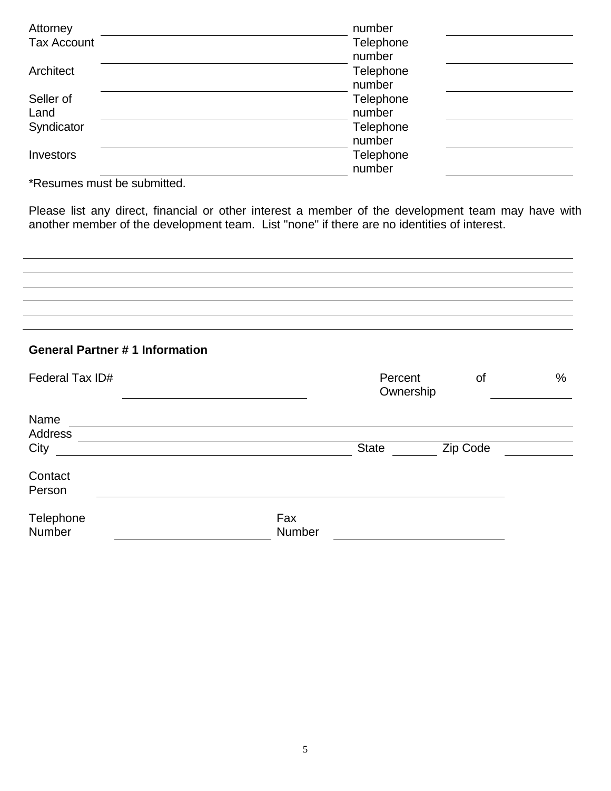| Attorney           | number    |  |
|--------------------|-----------|--|
| <b>Tax Account</b> | Telephone |  |
|                    | number    |  |
| Architect          | Telephone |  |
|                    | number    |  |
| Seller of          | Telephone |  |
| Land               | number    |  |
| Syndicator         | Telephone |  |
|                    | number    |  |
| Investors          | Telephone |  |
|                    | number    |  |

\*Resumes must be submitted.

Please list any direct, financial or other interest a member of the development team may have with another member of the development team. List "none" if there are no identities of interest.

## **General Partner # 1 Information**

| Federal Tax ID#     |               | Percent<br>Ownership | 0f       | $\%$ |
|---------------------|---------------|----------------------|----------|------|
| Name                |               |                      |          |      |
| Address             |               |                      |          |      |
| City                |               | <b>State</b>         | Zip Code |      |
| Contact<br>Person   |               |                      |          |      |
| Telephone<br>Number | Fax<br>Number |                      |          |      |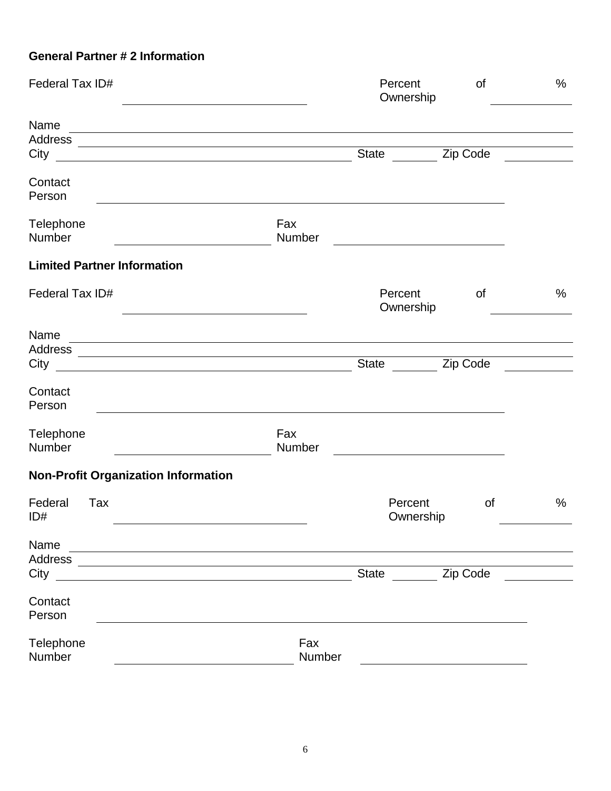## **General Partner # 2 Information**

| Federal Tax ID#                                                                                                                                   |               | Percent<br>Ownership                                                                                                                                                                                                                 | of        | $\%$ |
|---------------------------------------------------------------------------------------------------------------------------------------------------|---------------|--------------------------------------------------------------------------------------------------------------------------------------------------------------------------------------------------------------------------------------|-----------|------|
| Name<br><u> 1989 - Johann Stoff, amerikansk politiker (d. 1989)</u><br>City<br><u> 1980 - Johann Barbara, martxa amerikan personal (h. 1980).</u> |               | State Zip Code                                                                                                                                                                                                                       |           |      |
| Contact<br>Person                                                                                                                                 |               |                                                                                                                                                                                                                                      |           |      |
| Telephone<br>Number                                                                                                                               | Fax<br>Number | <u>and the state of the state of the state of the state of the state of the state of the state of the state of the state of the state of the state of the state of the state of the state of the state of the state of the state</u> |           |      |
| <b>Limited Partner Information</b>                                                                                                                |               |                                                                                                                                                                                                                                      |           |      |
| Federal Tax ID#                                                                                                                                   |               | Percent<br>Ownership                                                                                                                                                                                                                 | <b>of</b> | $\%$ |
| Name<br><u> 1989 - Johann Stoff, deutscher Stoffen und der Stoffen und der Stoffen und der Stoffen und der Stoffen und de</u><br>City             |               | <b>State</b>                                                                                                                                                                                                                         | Zip Code  |      |
| Contact<br>Person<br>,我们也不会有什么。""我们的人,我们也不会有什么?""我们的人,我们也不会有什么?""我们的人,我们也不会有什么?""我们的人,我们也不会有什么?""我们的人                                             |               |                                                                                                                                                                                                                                      |           |      |
| Telephone<br>Number                                                                                                                               | Fax<br>Number |                                                                                                                                                                                                                                      |           |      |
| <b>Non-Profit Organization Information</b>                                                                                                        |               |                                                                                                                                                                                                                                      |           |      |
| Federal<br>Tax<br>ID#                                                                                                                             |               | Percent<br>Ownership                                                                                                                                                                                                                 | <b>of</b> | %    |
| Name<br>Address                                                                                                                                   |               |                                                                                                                                                                                                                                      |           |      |
| City                                                                                                                                              |               | <b>State</b>                                                                                                                                                                                                                         | Zip Code  |      |
| Contact<br>Person                                                                                                                                 |               |                                                                                                                                                                                                                                      |           |      |
| Telephone<br>Number                                                                                                                               | Fax<br>Number |                                                                                                                                                                                                                                      |           |      |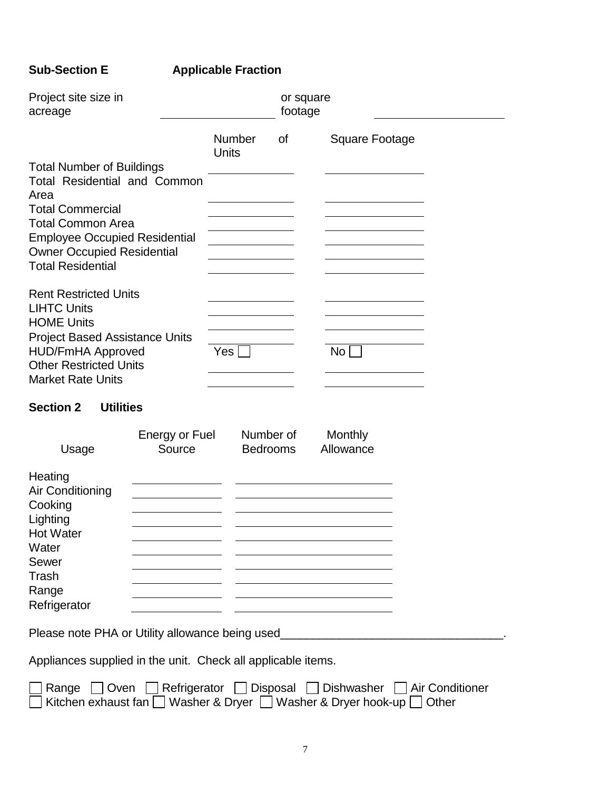# **Sub-Section E Applicable Fraction**

| Project site size in<br>acreage                                                                                                |                                 |                              | or square<br>footage |                                                                                  |  |
|--------------------------------------------------------------------------------------------------------------------------------|---------------------------------|------------------------------|----------------------|----------------------------------------------------------------------------------|--|
|                                                                                                                                |                                 | Number<br>Units              | 0f                   | Square Footage                                                                   |  |
| <b>Total Number of Buildings</b><br><b>Total Residential and Common</b><br>Area                                                |                                 |                              |                      |                                                                                  |  |
| <b>Total Commercial</b><br><b>Total Common Area</b>                                                                            |                                 |                              |                      |                                                                                  |  |
| <b>Employee Occupied Residential</b><br><b>Owner Occupied Residential</b><br><b>Total Residential</b>                          |                                 |                              |                      |                                                                                  |  |
| <b>Rent Restricted Units</b><br><b>LIHTC Units</b><br><b>HOME Units</b>                                                        |                                 |                              |                      |                                                                                  |  |
| <b>Project Based Assistance Units</b><br><b>HUD/FmHA Approved</b><br><b>Other Restricted Units</b><br><b>Market Rate Units</b> |                                 | Yes                          |                      | No                                                                               |  |
| <b>Section 2</b><br><b>Utilities</b>                                                                                           |                                 |                              |                      |                                                                                  |  |
| Usage                                                                                                                          | <b>Energy or Fuel</b><br>Source | Number of<br><b>Bedrooms</b> |                      | Monthly<br>Allowance                                                             |  |
| Heating<br>Air Conditioning<br>Cooking                                                                                         |                                 |                              |                      |                                                                                  |  |
| Lighting<br><b>Hot Water</b>                                                                                                   |                                 |                              |                      |                                                                                  |  |
| Water<br>Sewer<br><b>Trash</b>                                                                                                 |                                 |                              |                      |                                                                                  |  |
| Range<br>Refrigerator                                                                                                          |                                 |                              |                      |                                                                                  |  |
|                                                                                                                                |                                 |                              |                      | Please note PHA or Utility allowance being used_________________________________ |  |
| Appliances supplied in the unit. Check all applicable items.                                                                   |                                 |                              |                      |                                                                                  |  |

| □ Range □ Oven □ Refrigerator □ Disposal □ Dishwasher □ Air Conditioner                     |  |  |
|---------------------------------------------------------------------------------------------|--|--|
| $\Box$ Kitchen exhaust fan $\Box$ Washer & Dryer $\Box$ Washer & Dryer hook-up $\Box$ Other |  |  |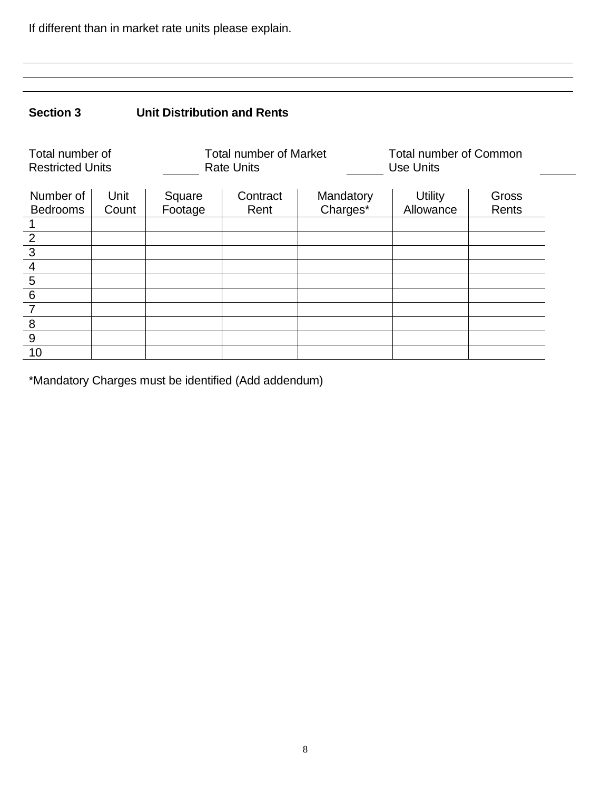If different than in market rate units please explain.

# **Section 3 Unit Distribution and Rents**

| Total number of<br><b>Restricted Units</b> |               |                   | <b>Total number of Market</b><br><b>Rate Units</b> |                       | <b>Total number of Common</b><br><b>Use Units</b> |                |
|--------------------------------------------|---------------|-------------------|----------------------------------------------------|-----------------------|---------------------------------------------------|----------------|
| Number of<br><b>Bedrooms</b>               | Unit<br>Count | Square<br>Footage | Contract<br>Rent                                   | Mandatory<br>Charges* | <b>Utility</b><br>Allowance                       | Gross<br>Rents |
|                                            |               |                   |                                                    |                       |                                                   |                |
| $\overline{2}$                             |               |                   |                                                    |                       |                                                   |                |
| $\overline{3}$                             |               |                   |                                                    |                       |                                                   |                |
| $\overline{4}$                             |               |                   |                                                    |                       |                                                   |                |
| $\overline{5}$                             |               |                   |                                                    |                       |                                                   |                |
| $6\phantom{1}6$                            |               |                   |                                                    |                       |                                                   |                |
|                                            |               |                   |                                                    |                       |                                                   |                |
| 8                                          |               |                   |                                                    |                       |                                                   |                |
| 9                                          |               |                   |                                                    |                       |                                                   |                |
| 10                                         |               |                   |                                                    |                       |                                                   |                |

\*Mandatory Charges must be identified (Add addendum)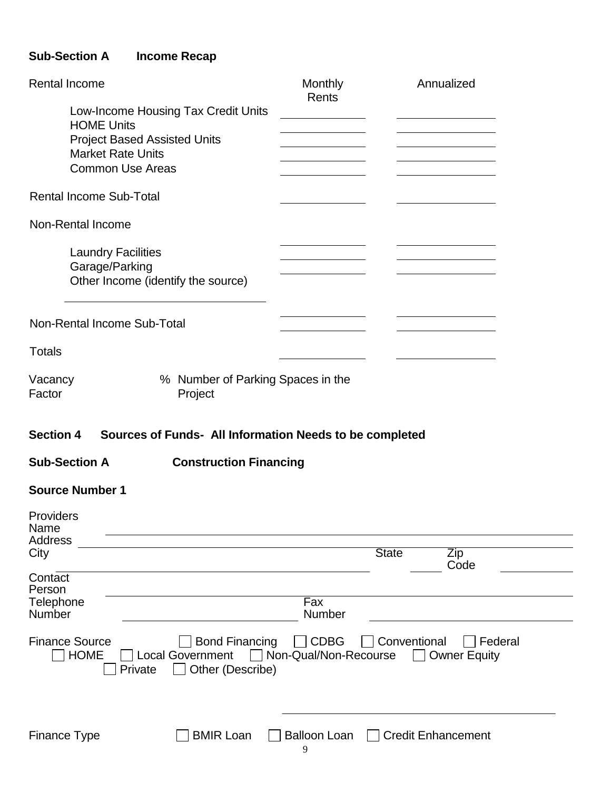# **Sub-Section A Income Recap**

| Rental Income                                                                                                           | Monthly<br>Rents                       | Annualized                                     |
|-------------------------------------------------------------------------------------------------------------------------|----------------------------------------|------------------------------------------------|
| Low-Income Housing Tax Credit Units                                                                                     |                                        |                                                |
| <b>HOME Units</b>                                                                                                       |                                        |                                                |
| <b>Project Based Assisted Units</b><br><b>Market Rate Units</b>                                                         |                                        |                                                |
| <b>Common Use Areas</b>                                                                                                 |                                        |                                                |
|                                                                                                                         |                                        |                                                |
| <b>Rental Income Sub-Total</b>                                                                                          |                                        |                                                |
| Non-Rental Income                                                                                                       |                                        |                                                |
| <b>Laundry Facilities</b>                                                                                               |                                        |                                                |
| Garage/Parking                                                                                                          |                                        |                                                |
| Other Income (identify the source)                                                                                      |                                        |                                                |
|                                                                                                                         |                                        |                                                |
|                                                                                                                         |                                        |                                                |
| Non-Rental Income Sub-Total                                                                                             |                                        |                                                |
| <b>Totals</b>                                                                                                           |                                        |                                                |
| % Number of Parking Spaces in the<br>Vacancy<br>Factor<br>Project                                                       |                                        |                                                |
| <b>Section 4</b><br>Sources of Funds- All Information Needs to be completed                                             |                                        |                                                |
| <b>Sub-Section A</b><br><b>Construction Financing</b>                                                                   |                                        |                                                |
| <b>Source Number 1</b>                                                                                                  |                                        |                                                |
| Providers<br>Name                                                                                                       |                                        |                                                |
| <b>Address</b>                                                                                                          |                                        |                                                |
| City                                                                                                                    |                                        | <b>State</b><br>Zip<br>Code                    |
| Contact<br>Person                                                                                                       |                                        |                                                |
| Telephone<br>Number                                                                                                     | $\overline{Fax}$<br>Number             |                                                |
| <b>Finance Source</b><br><b>Bond Financing</b><br><b>HOME</b><br><b>Local Government</b><br>Other (Describe)<br>Private | <b>CDBG</b><br>□ Non-Qual/Non-Recourse | Conventional<br>Federal<br><b>Owner Equity</b> |
|                                                                                                                         |                                        |                                                |
| <b>BMIR Loan</b><br><b>Finance Type</b>                                                                                 | <b>Balloon Loan</b><br>9               | <b>Credit Enhancement</b>                      |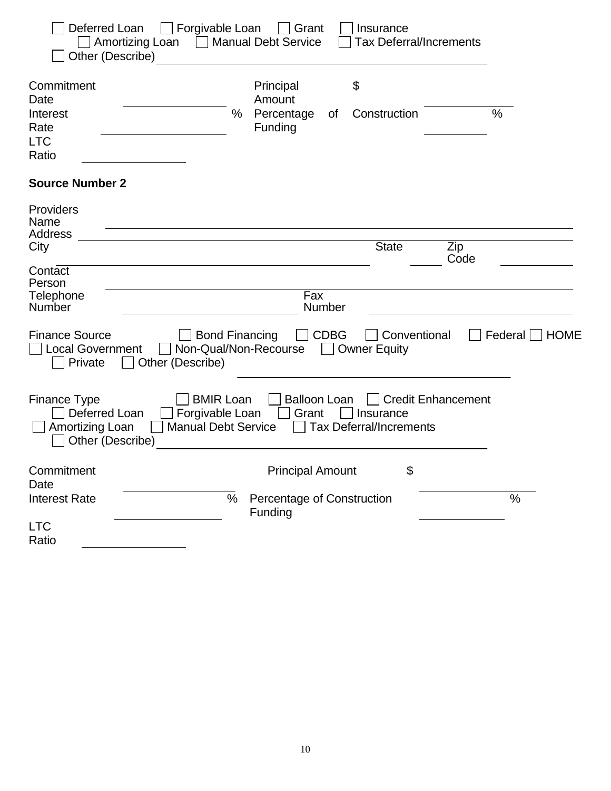| Deferred Loan<br>Amortizing Loan<br>$\mathbf{1}$<br>Other (Describe)                            | Forgivable Loan<br>$\vert$   Grant<br><b>Manual Debt Service</b>                                                  | Insurance<br><b>Tax Deferral/Increments</b>                              |                 |
|-------------------------------------------------------------------------------------------------|-------------------------------------------------------------------------------------------------------------------|--------------------------------------------------------------------------|-----------------|
| Commitment<br>Date                                                                              | Principal<br>Amount                                                                                               | \$                                                                       |                 |
| Interest<br>Rate<br><b>LTC</b><br>Ratio                                                         | %<br>Percentage<br>of<br>Funding                                                                                  | Construction                                                             | %               |
| <b>Source Number 2</b>                                                                          |                                                                                                                   |                                                                          |                 |
| Providers<br>Name<br><b>Address</b>                                                             |                                                                                                                   |                                                                          |                 |
| City                                                                                            |                                                                                                                   | <b>State</b>                                                             | Zip<br>Code     |
| Contact<br>Person<br>Telephone<br>Number                                                        | Fax<br>Number                                                                                                     |                                                                          |                 |
| <b>Finance Source</b><br><b>Local Government</b><br>Other (Describe)<br>Private<br>$\mathbf{I}$ | $\Box$ CDBG<br><b>Bond Financing</b><br>Non-Qual/Non-Recourse<br>$\mathbf{I}$                                     | Conventional<br><b>Owner Equity</b>                                      | Federal<br>HOME |
| <b>Finance Type</b><br>Deferred Loan<br>Amortizing Loan<br>Other (Describe)                     | <b>BMIR Loan</b><br><b>Balloon Loan</b><br>Forgivable Loan<br>Grant<br><b>Manual Debt Service</b><br>$\mathbf{I}$ | <b>Credit Enhancement</b><br>Insurance<br><b>Tax Deferral/Increments</b> |                 |
| Commitment<br>Date                                                                              | <b>Principal Amount</b>                                                                                           | \$                                                                       |                 |
| <b>Interest Rate</b>                                                                            | Percentage of Construction<br>%<br>Funding                                                                        |                                                                          | %               |
| <b>LTC</b><br>Ratio                                                                             |                                                                                                                   |                                                                          |                 |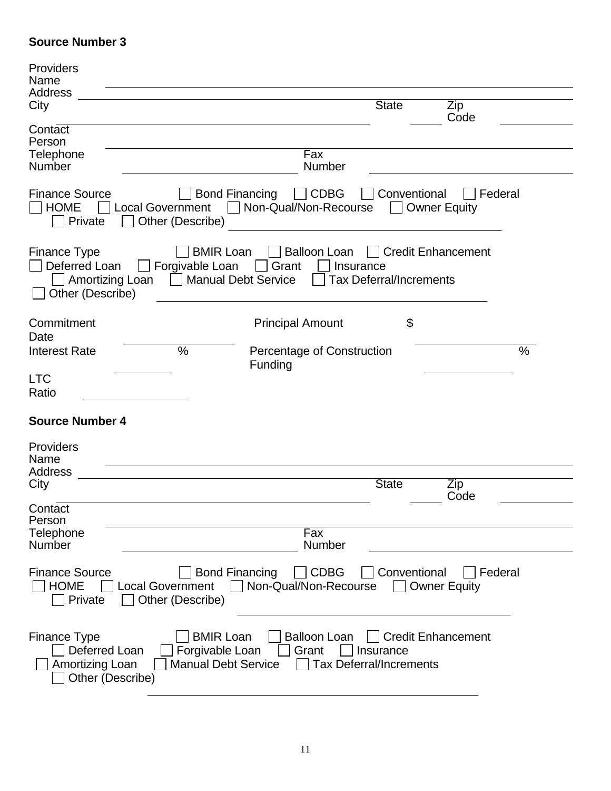## **Source Number 3**

| Providers<br>Name                                                           |                                                                                                                            |                                                                                          |  |
|-----------------------------------------------------------------------------|----------------------------------------------------------------------------------------------------------------------------|------------------------------------------------------------------------------------------|--|
| Address<br>City                                                             |                                                                                                                            | <b>State</b><br>Zip<br>Code                                                              |  |
| Contact<br>Person                                                           |                                                                                                                            |                                                                                          |  |
| Telephone<br>Number                                                         | Fax<br>Number                                                                                                              |                                                                                          |  |
| <b>Finance Source</b><br><b>HOME</b><br><b>Local Government</b><br>Private  | <b>Bond Financing</b><br>$\Box$ CDBG<br>Non-Qual/Non-Recourse<br>Other (Describe)                                          | Federal<br>Conventional<br>□ Owner Equity                                                |  |
| <b>Finance Type</b><br>Deferred Loan<br>Other (Describe)                    | <b>BMIR Loan</b><br><b>Balloon Loan</b><br>Forgivable Loan<br>Grant<br>$\mathbf{1}$<br>Amortizing Loan Manual Debt Service | <b>Credit Enhancement</b><br>$\mathbf{1}$<br>Insurance<br><b>Tax Deferral/Increments</b> |  |
| Commitment<br>Date                                                          | <b>Principal Amount</b>                                                                                                    | \$                                                                                       |  |
| <b>Interest Rate</b>                                                        | $\frac{0}{0}$<br>Percentage of Construction<br>Funding                                                                     | $\%$                                                                                     |  |
| <b>LTC</b><br>Ratio                                                         |                                                                                                                            |                                                                                          |  |
| <b>Source Number 4</b>                                                      |                                                                                                                            |                                                                                          |  |
| Providers<br>Name                                                           |                                                                                                                            |                                                                                          |  |
| <b>Address</b><br>City                                                      |                                                                                                                            | <b>State</b><br>Zip<br>Code                                                              |  |
| Contact<br>Person                                                           |                                                                                                                            |                                                                                          |  |
| Telephone<br><b>Number</b>                                                  | Fax<br>Number                                                                                                              |                                                                                          |  |
| <b>Finance Source</b><br><b>HOME</b><br><b>Local Government</b><br>Private  | <b>Bond Financing</b><br><b>CDBG</b><br>Non-Qual/Non-Recourse<br>Other (Describe)                                          | Conventional<br>Federal<br><b>Owner Equity</b>                                           |  |
| <b>Finance Type</b><br>Deferred Loan<br>Amortizing Loan<br>Other (Describe) | <b>BMIR Loan</b><br><b>Balloon Loan</b><br>Forgivable Loan<br>Grant<br><b>Manual Debt Service</b>                          | <b>Credit Enhancement</b><br>Insurance<br><b>Tax Deferral/Increments</b>                 |  |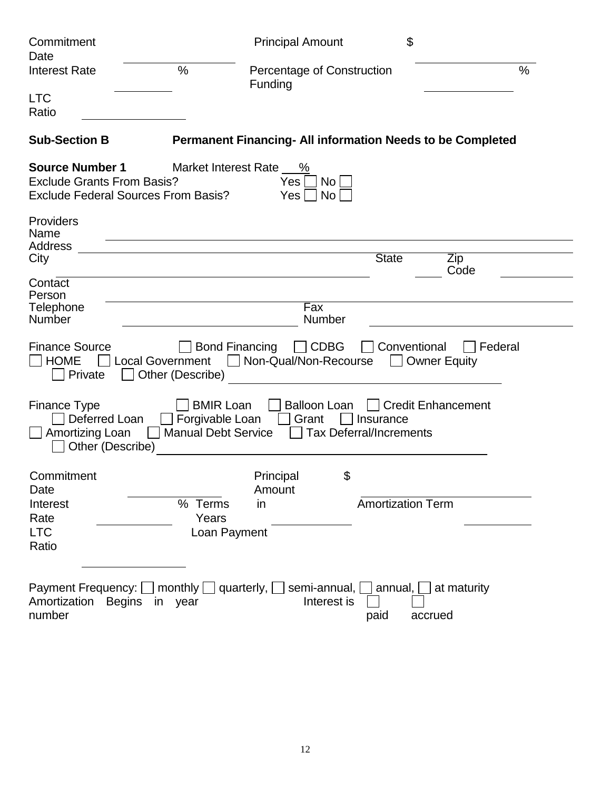| Commitment<br>Date                                                                                        |                                                                   | <b>Principal Amount</b>                                                     | \$                                             |  |
|-----------------------------------------------------------------------------------------------------------|-------------------------------------------------------------------|-----------------------------------------------------------------------------|------------------------------------------------|--|
| <b>Interest Rate</b>                                                                                      | $\frac{0}{0}$                                                     | Percentage of Construction<br>Funding                                       | $\%$                                           |  |
| <b>LTC</b><br>Ratio                                                                                       |                                                                   |                                                                             |                                                |  |
| <b>Sub-Section B</b>                                                                                      |                                                                   | <b>Permanent Financing- All information Needs to be Completed</b>           |                                                |  |
| <b>Source Number 1</b><br><b>Exclude Grants From Basis?</b><br><b>Exclude Federal Sources From Basis?</b> | Market Interest Rate __ %                                         | <b>No</b><br>Yes<br><b>No</b><br>Yes                                        |                                                |  |
| Providers<br>Name                                                                                         |                                                                   |                                                                             |                                                |  |
| <b>Address</b><br>City                                                                                    |                                                                   | <b>State</b>                                                                | Zip<br>Code                                    |  |
| Contact<br>Person<br>Telephone                                                                            |                                                                   | Fax                                                                         |                                                |  |
| <b>Number</b>                                                                                             |                                                                   | Number                                                                      |                                                |  |
| <b>Finance Source</b><br><b>HOME</b><br><b>Local Government</b><br>Private                                | <b>Bond Financing</b><br>Other (Describe)                         | <b>CDBG</b><br>Non-Qual/Non-Recourse                                        | Conventional<br>Federal<br><b>Owner Equity</b> |  |
| Finance Type<br>Deferred Loan<br>Amortizing Loan<br>Other (Describe)                                      | <b>BMIR Loan</b><br>Forgivable Loan<br><b>Manual Debt Service</b> | <b>Balloon Loan</b><br>Grant<br>Insurance<br><b>Tax Deferral/Increments</b> | <b>Credit Enhancement</b>                      |  |
| Commitment<br>Date                                                                                        |                                                                   | Principal<br>\$<br>Amount                                                   |                                                |  |
| Interest<br>Rate<br><b>LTC</b><br>Ratio                                                                   | % Terms<br>Years<br>Loan Payment                                  | in                                                                          | <b>Amortization Term</b>                       |  |
| Payment Frequency: $\Box$ monthly $\Box$ quarterly, $\Box$<br>Amortization<br><b>Begins</b><br>number     | in year                                                           | semi-annual, $\Box$<br>annual, [<br>Interest is<br>paid                     | at maturity<br>accrued                         |  |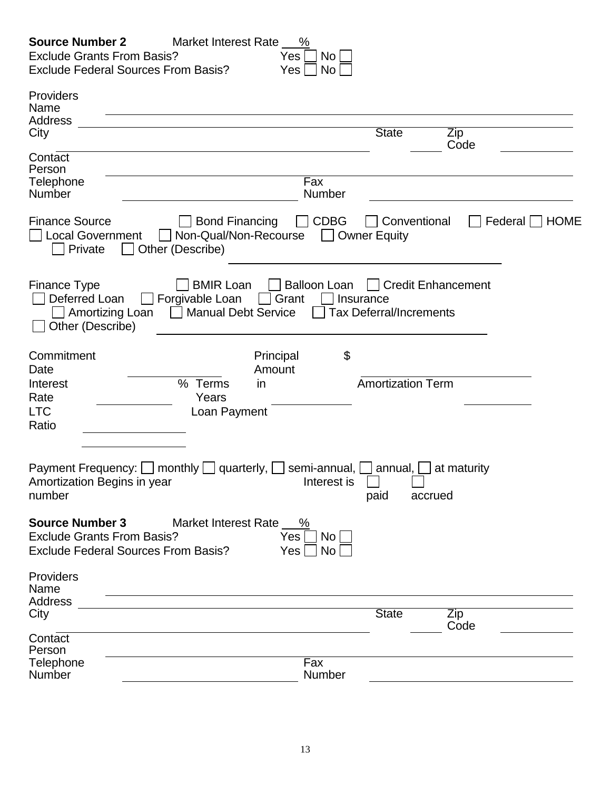| <b>Source Number 2</b><br>Market Interest Rate %<br><b>Exclude Grants From Basis?</b><br>Yes<br>No<br><b>Exclude Federal Sources From Basis?</b><br>No<br>Yes                                                                                                |
|--------------------------------------------------------------------------------------------------------------------------------------------------------------------------------------------------------------------------------------------------------------|
| Providers<br>Name<br><b>Address</b><br><b>State</b><br>City<br>Zip                                                                                                                                                                                           |
| Code<br>Contact<br>Person<br>Telephone<br>Fax<br>Number<br>Number                                                                                                                                                                                            |
| <b>Finance Source</b><br><b>Bond Financing</b><br><b>CDBG</b><br>Federal<br>Conventional<br><b>HOME</b><br><b>Local Government</b><br>Non-Qual/Non-Recourse<br><b>Owner Equity</b><br>Other (Describe)<br>Private                                            |
| <b>Finance Type</b><br><b>BMIR Loan</b><br><b>Balloon Loan</b><br><b>Credit Enhancement</b><br>Deferred Loan<br>Forgivable Loan<br>Grant<br>Insurance<br>Amortizing Loan<br><b>Manual Debt Service</b><br><b>Tax Deferral/Increments</b><br>Other (Describe) |
| \$<br>Commitment<br>Principal<br>Date<br>Amount<br>% Terms<br><b>Amortization Term</b><br>Interest<br>in<br>Rate<br>Years<br><b>LTC</b><br>Loan Payment<br>Ratio                                                                                             |
| <b>Payment Frequency:</b><br>monthly<br>quarterly,<br>semi-annual,<br>annual,<br>at maturity<br>Amortization Begins in year<br>Interest is<br>number<br>paid<br>accrued                                                                                      |
| <b>Source Number 3</b><br>Market Interest Rate _ %<br><b>Exclude Grants From Basis?</b><br>Yes<br>No<br><b>Exclude Federal Sources From Basis?</b><br>No<br>Yes                                                                                              |
| Providers<br>Name                                                                                                                                                                                                                                            |

| Address       |              |             |
|---------------|--------------|-------------|
| City          | <b>State</b> | $\angle$ ip |
|               |              | Code        |
| Contact       |              |             |
| Person        |              |             |
| Telephone     | Fax          |             |
| <b>Number</b> | Number       |             |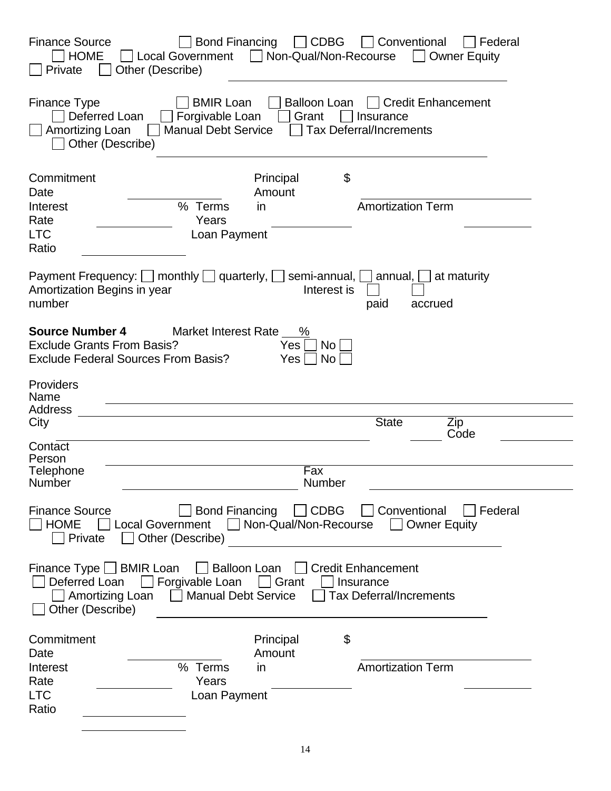| <b>CDBG</b><br><b>Finance Source</b><br><b>Bond Financing</b><br>Conventional<br>Federal<br>$\mathbf{I}$<br>Non-Qual/Non-Recourse<br><b>HOME</b><br>Local Government    <br><b>Owner Equity</b><br>Private<br>Other (Describe)                               |
|--------------------------------------------------------------------------------------------------------------------------------------------------------------------------------------------------------------------------------------------------------------|
| <b>Finance Type</b><br><b>Balloon Loan</b><br><b>BMIR Loan</b><br><b>Credit Enhancement</b><br>Forgivable Loan<br>Deferred Loan<br>Grant<br>Insurance<br><b>Manual Debt Service</b><br><b>Tax Deferral/Increments</b><br>Amortizing Loan<br>Other (Describe) |
| \$<br>Commitment<br>Principal<br>Date<br>Amount<br><b>Amortization Term</b><br>% Terms<br>Interest<br>in.<br>Years<br>Rate<br><b>LTC</b><br>Loan Payment<br>Ratio                                                                                            |
| Payment Frequency: $\Box$ monthly $\Box$ quarterly, $\Box$ semi-annual, $\Box$<br>annual, $\Box$<br>at maturity<br>Amortization Begins in year<br>Interest is<br>number<br>paid<br>accrued                                                                   |
| <b>Source Number 4</b><br>Market Interest Rate<br>$\%$<br><b>Exclude Grants From Basis?</b><br>No<br>Yes<br><b>Exclude Federal Sources From Basis?</b><br><b>No</b><br>Yes:                                                                                  |
| Providers<br>Name<br>Address<br><b>State</b><br>City<br>Zip<br>Code                                                                                                                                                                                          |
| Contact<br>Person<br>Telephone<br>Fax<br>Number<br>Number                                                                                                                                                                                                    |
| <b>Bond Financing</b><br>$\Box$ CDBG<br><b>Conventional</b><br>Federal<br><b>Finance Source</b><br>□ Local Government □ Non-Qual/Non-Recourse □ Owner Equity<br><b>HOME</b><br>Private<br>Other (Describe)                                                   |
| Finance Type BMIR Loan Balloon Loan Credit Enhancement<br>Forgivable Loan Grant<br>Deferred Loan<br>Insurance<br>Amortizing Loan   Manual Debt Service<br><b>Tax Deferral/Increments</b><br>Other (Describe)                                                 |
| Commitment<br>Principal<br>\$<br>Date<br>Amount<br><b>Amortization Term</b><br>% Terms<br>Interest<br>in<br>Years<br>Rate<br><b>LTC</b><br>Loan Payment                                                                                                      |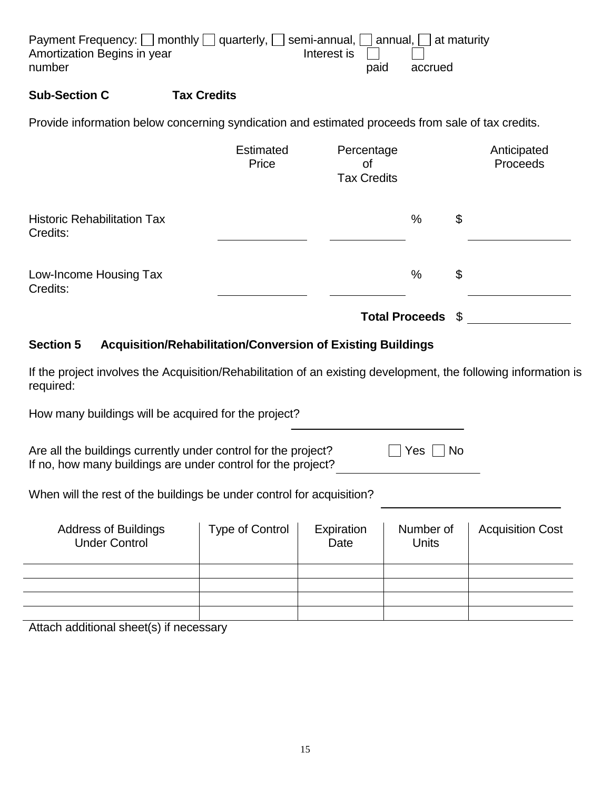| Payment Frequency: $\Box$ monthly $\Box$ quarterly, $\Box$ semi-annual, $\Box$ annual, $\Box$ at maturity |                  |      |         |
|-----------------------------------------------------------------------------------------------------------|------------------|------|---------|
| Amortization Begins in year                                                                               | Interest is $  $ |      |         |
| number                                                                                                    |                  | paid | accrued |
|                                                                                                           |                  |      |         |

## **Sub-Section C Tax Credits**

Provide information below concerning syndication and estimated proceeds from sale of tax credits.

|                                                | <b>Estimated</b><br>Price | Percentage<br>0f<br><b>Tax Credits</b> |      | Anticipated<br>Proceeds |
|------------------------------------------------|---------------------------|----------------------------------------|------|-------------------------|
| <b>Historic Rehabilitation Tax</b><br>Credits: |                           |                                        | $\%$ | \$                      |
| Low-Income Housing Tax<br>Credits:             |                           |                                        | %    | \$                      |
|                                                |                           | <b>Total Proceeds</b>                  |      | - \$                    |

## **Section 5 Acquisition/Rehabilitation/Conversion of Existing Buildings**

If the project involves the Acquisition/Rehabilitation of an existing development, the following information is required:

How many buildings will be acquired for the project?

| Are all the buildings currently under control for the project? | $\Box$ Yes $\Box$ No |
|----------------------------------------------------------------|----------------------|
| If no, how many buildings are under control for the project?   |                      |

When will the rest of the buildings be under control for acquisition?

| <b>Address of Buildings</b><br><b>Under Control</b> | <b>Type of Control</b> | Expiration<br>Date | Number of<br><b>Units</b> | <b>Acquisition Cost</b> |
|-----------------------------------------------------|------------------------|--------------------|---------------------------|-------------------------|
|                                                     |                        |                    |                           |                         |
|                                                     |                        |                    |                           |                         |
|                                                     |                        |                    |                           |                         |
|                                                     |                        |                    |                           |                         |

Attach additional sheet(s) if necessary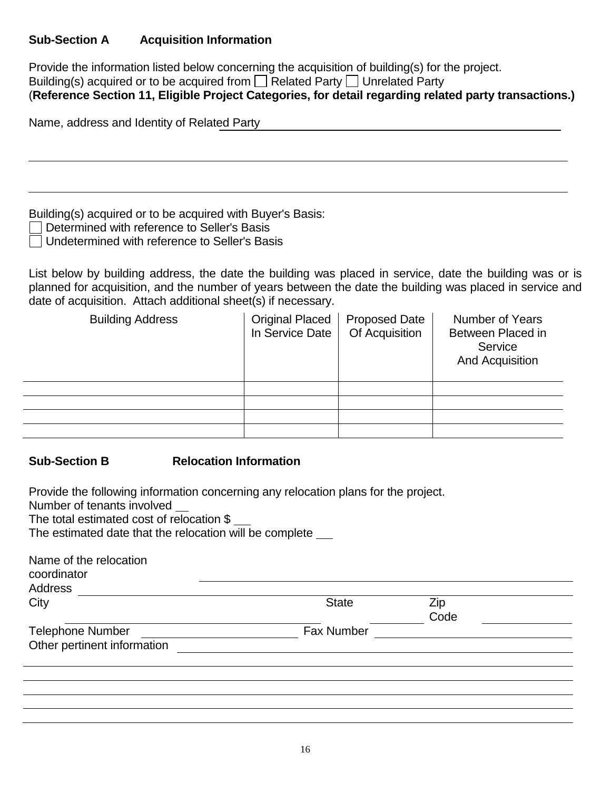## **Sub-Section A Acquisition Information**

Provide the information listed below concerning the acquisition of building(s) for the project. Building(s) acquired or to be acquired from  $\Box$  Related Party  $\Box$  Unrelated Party (**Reference Section 11, Eligible Project Categories, for detail regarding related party transactions.)**

Name, address and Identity of Related Party

Building(s) acquired or to be acquired with Buyer's Basis:

- □ Determined with reference to Seller's Basis
- Undetermined with reference to Seller's Basis

List below by building address, the date the building was placed in service, date the building was or is planned for acquisition, and the number of years between the date the building was placed in service and date of acquisition. Attach additional sheet(s) if necessary.

| <b>Building Address</b> | <b>Original Placed</b><br>In Service Date | <b>Proposed Date</b><br>Of Acquisition | Number of Years<br>Between Placed in<br>Service<br>And Acquisition |
|-------------------------|-------------------------------------------|----------------------------------------|--------------------------------------------------------------------|
|                         |                                           |                                        |                                                                    |
|                         |                                           |                                        |                                                                    |
|                         |                                           |                                        |                                                                    |
|                         |                                           |                                        |                                                                    |

**Sub-Section B Relocation Information**

| Provide the following information concerning any relocation plans for the project.<br>Number of tenants involved<br>The total estimated cost of relocation \$<br>The estimated date that the relocation will be complete |                   |             |  |
|--------------------------------------------------------------------------------------------------------------------------------------------------------------------------------------------------------------------------|-------------------|-------------|--|
| Name of the relocation<br>coordinator                                                                                                                                                                                    |                   |             |  |
| Address                                                                                                                                                                                                                  |                   |             |  |
| City                                                                                                                                                                                                                     | <b>State</b>      | Zip<br>Code |  |
| <b>Telephone Number</b>                                                                                                                                                                                                  | <b>Fax Number</b> |             |  |
| Other pertinent information                                                                                                                                                                                              |                   |             |  |
|                                                                                                                                                                                                                          |                   |             |  |
|                                                                                                                                                                                                                          |                   |             |  |
|                                                                                                                                                                                                                          |                   |             |  |
|                                                                                                                                                                                                                          |                   |             |  |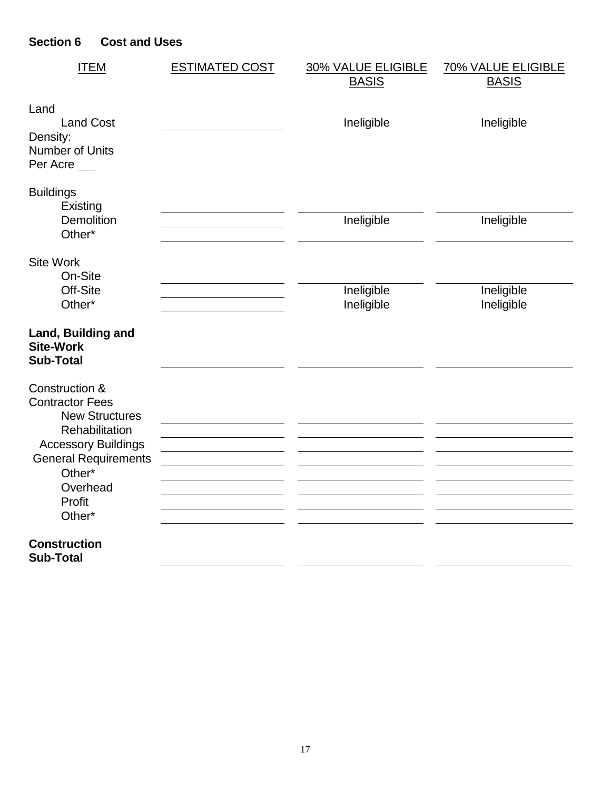# **Section 6 Cost and Uses**

| <b>ITEM</b>                                                | <b>ESTIMATED COST</b> | 30% VALUE ELIGIBLE<br><b>BASIS</b> | <b>70% VALUE ELIGIBLE</b><br><b>BASIS</b> |
|------------------------------------------------------------|-----------------------|------------------------------------|-------------------------------------------|
|                                                            |                       |                                    |                                           |
| Land<br><b>Land Cost</b>                                   |                       | Ineligible                         | Ineligible                                |
| Density:<br>Number of Units<br>Per Acre                    |                       |                                    |                                           |
| <b>Buildings</b><br>Existing                               |                       |                                    |                                           |
| Demolition<br>Other*                                       |                       | Ineligible                         | Ineligible                                |
| <b>Site Work</b><br>On-Site                                |                       |                                    |                                           |
| Off-Site<br>Other*                                         |                       | Ineligible<br>Ineligible           | Ineligible<br>Ineligible                  |
| Land, Building and<br><b>Site-Work</b><br><b>Sub-Total</b> |                       |                                    |                                           |
| Construction &<br><b>Contractor Fees</b>                   |                       |                                    |                                           |
| <b>New Structures</b><br>Rehabilitation                    |                       |                                    |                                           |
| <b>Accessory Buildings</b><br><b>General Requirements</b>  |                       |                                    |                                           |
| Other*                                                     |                       |                                    |                                           |
| Overhead<br>Profit                                         |                       |                                    |                                           |
| Other*                                                     |                       |                                    |                                           |
| <b>Construction</b><br><b>Sub-Total</b>                    |                       |                                    |                                           |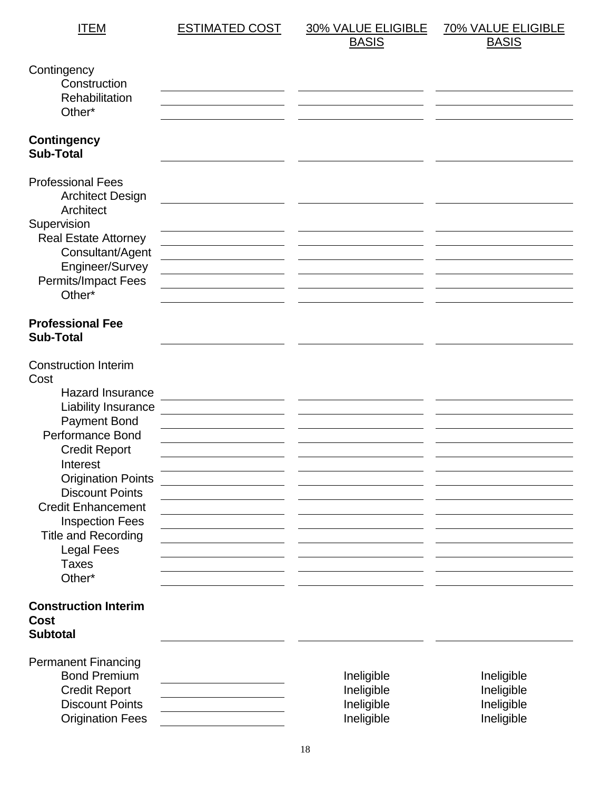| <b>ITEM</b>                                                                                                                                                                                                                                                                                                                                                     | <b>ESTIMATED COST</b> | <b>30% VALUE ELIGIBLE</b><br><b>BASIS</b>            | <b>70% VALUE ELIGIBLE</b><br><b>BASIS</b>            |
|-----------------------------------------------------------------------------------------------------------------------------------------------------------------------------------------------------------------------------------------------------------------------------------------------------------------------------------------------------------------|-----------------------|------------------------------------------------------|------------------------------------------------------|
| Contingency<br>Construction<br>Rehabilitation<br>Other*                                                                                                                                                                                                                                                                                                         |                       |                                                      |                                                      |
| <b>Contingency</b><br><b>Sub-Total</b>                                                                                                                                                                                                                                                                                                                          |                       |                                                      |                                                      |
| <b>Professional Fees</b><br><b>Architect Design</b><br>Architect<br>Supervision<br><b>Real Estate Attorney</b><br>Consultant/Agent<br>Engineer/Survey<br>Permits/Impact Fees<br>Other*                                                                                                                                                                          |                       |                                                      |                                                      |
| <b>Professional Fee</b><br><b>Sub-Total</b>                                                                                                                                                                                                                                                                                                                     |                       |                                                      |                                                      |
| <b>Construction Interim</b><br>Cost<br><b>Hazard Insurance</b><br>Liability Insurance<br><b>Payment Bond</b><br>Performance Bond<br><b>Credit Report</b><br>Interest<br><b>Origination Points</b><br><b>Discount Points</b><br><b>Credit Enhancement</b><br><b>Inspection Fees</b><br><b>Title and Recording</b><br><b>Legal Fees</b><br><b>Taxes</b><br>Other* |                       |                                                      |                                                      |
| <b>Construction Interim</b><br><b>Cost</b><br><b>Subtotal</b>                                                                                                                                                                                                                                                                                                   |                       |                                                      |                                                      |
| <b>Permanent Financing</b><br><b>Bond Premium</b><br><b>Credit Report</b><br><b>Discount Points</b><br><b>Origination Fees</b>                                                                                                                                                                                                                                  |                       | Ineligible<br>Ineligible<br>Ineligible<br>Ineligible | Ineligible<br>Ineligible<br>Ineligible<br>Ineligible |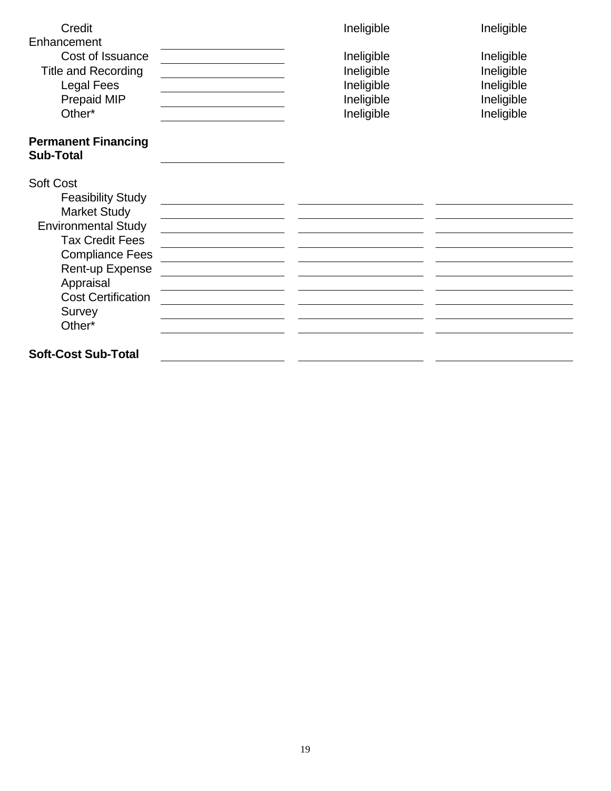| Credit                                         | Ineligible | Ineligible |
|------------------------------------------------|------------|------------|
| Enhancement                                    |            |            |
| Cost of Issuance                               | Ineligible | Ineligible |
| <b>Title and Recording</b>                     | Ineligible | Ineligible |
| <b>Legal Fees</b>                              | Ineligible | Ineligible |
| Prepaid MIP                                    | Ineligible | Ineligible |
| Other*                                         | Ineligible | Ineligible |
|                                                |            |            |
| <b>Permanent Financing</b><br><b>Sub-Total</b> |            |            |
|                                                |            |            |
| <b>Soft Cost</b>                               |            |            |
| <b>Feasibility Study</b>                       |            |            |
| <b>Market Study</b>                            |            |            |
| <b>Environmental Study</b>                     |            |            |
| <b>Tax Credit Fees</b>                         |            |            |
| <b>Compliance Fees</b>                         |            |            |
| Rent-up Expense                                |            |            |
| Appraisal                                      |            |            |
| <b>Cost Certification</b>                      |            |            |
| Survey                                         |            |            |
| Other*                                         |            |            |
| <b>Soft-Cost Sub-Total</b>                     |            |            |
|                                                |            |            |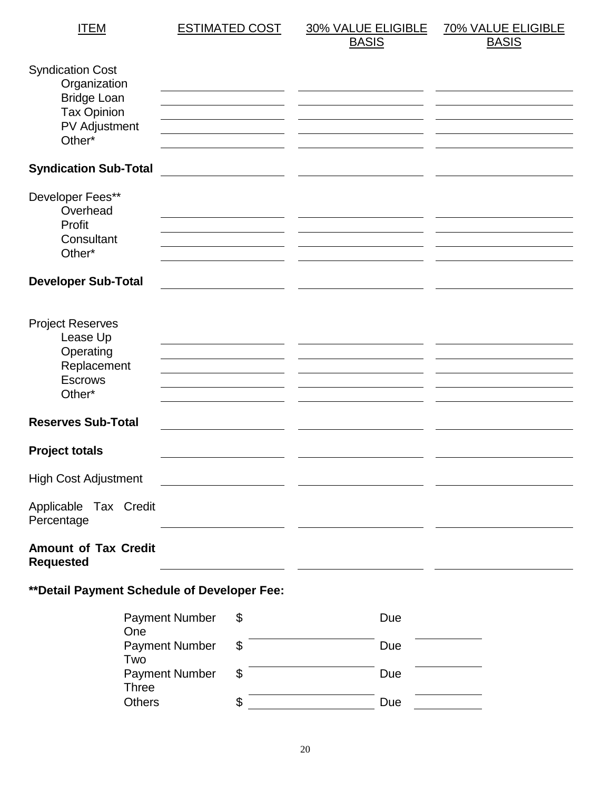ITEM ESTIMATED COST 30% VALUE ELIGIBLE **BASIS** 70% VALUE ELIGIBLE **BASIS** 

| <b>Syndication Cost</b><br>Organization<br><b>Bridge Loan</b><br><b>Tax Opinion</b><br><b>PV Adjustment</b><br>Other* |                       |                                                                                                                      |     |  |
|-----------------------------------------------------------------------------------------------------------------------|-----------------------|----------------------------------------------------------------------------------------------------------------------|-----|--|
| <b>Syndication Sub-Total</b>                                                                                          |                       | <u> 1980 - Jan Stein Stein Stein Stein Stein Stein Stein Stein Stein Stein Stein Stein Stein Stein Stein Stein S</u> |     |  |
| Developer Fees**<br>Overhead<br>Profit<br>Consultant<br>Other*                                                        |                       |                                                                                                                      |     |  |
| <b>Developer Sub-Total</b>                                                                                            |                       |                                                                                                                      |     |  |
| <b>Project Reserves</b><br>Lease Up<br>Operating<br>Replacement<br><b>Escrows</b><br>Other*                           |                       |                                                                                                                      |     |  |
| <b>Reserves Sub-Total</b>                                                                                             |                       |                                                                                                                      |     |  |
| <b>Project totals</b>                                                                                                 |                       |                                                                                                                      |     |  |
| <b>High Cost Adjustment</b>                                                                                           |                       |                                                                                                                      |     |  |
| Applicable Tax Credit<br>Percentage                                                                                   |                       |                                                                                                                      |     |  |
| <b>Amount of Tax Credit</b><br><b>Requested</b>                                                                       |                       |                                                                                                                      |     |  |
| ** Detail Payment Schedule of Developer Fee:                                                                          |                       |                                                                                                                      |     |  |
| $\cap$ no                                                                                                             | <b>Payment Number</b> | \$                                                                                                                   | Due |  |

| One                   |    |     |  |
|-----------------------|----|-----|--|
| <b>Payment Number</b> |    | Due |  |
| Two                   |    |     |  |
| <b>Payment Number</b> |    | Due |  |
| <b>Three</b>          |    |     |  |
| <b>Others</b>         | \$ | Due |  |
|                       |    |     |  |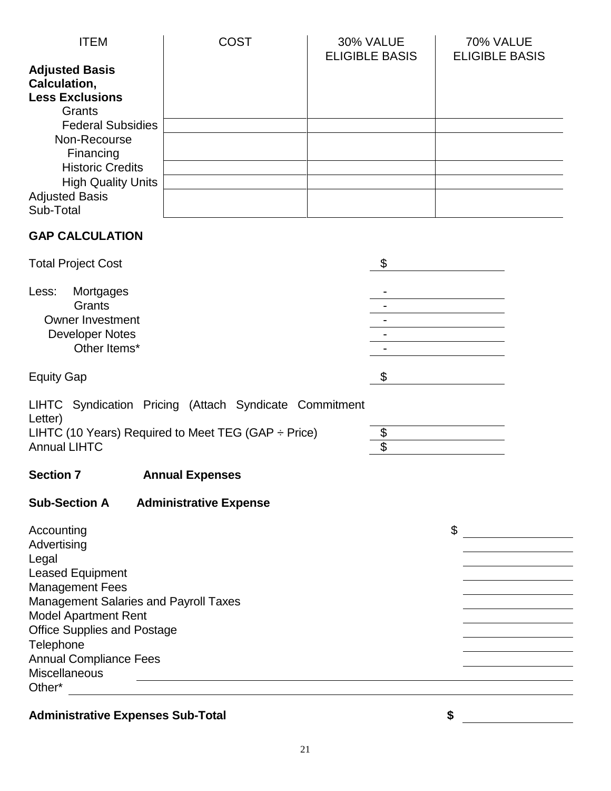| <b>ITEM</b>                                                               | COST | 30% VALUE<br><b>ELIGIBLE BASIS</b> | 70% VALUE<br><b>ELIGIBLE BASIS</b> |
|---------------------------------------------------------------------------|------|------------------------------------|------------------------------------|
| <b>Adjusted Basis</b><br>Calculation,<br><b>Less Exclusions</b><br>Grants |      |                                    |                                    |
| <b>Federal Subsidies</b>                                                  |      |                                    |                                    |
| Non-Recourse<br>Financing                                                 |      |                                    |                                    |
| <b>Historic Credits</b>                                                   |      |                                    |                                    |
| <b>High Quality Units</b>                                                 |      |                                    |                                    |
| <b>Adjusted Basis</b><br>Sub-Total                                        |      |                                    |                                    |
| <b>GAP CALCULATION</b>                                                    |      |                                    |                                    |

| <b>Total Project Cost</b> |                          |
|---------------------------|--------------------------|
| Mortgages<br>Less:        | $\overline{\phantom{0}}$ |
| Grants                    | $\overline{\phantom{0}}$ |
| <b>Owner Investment</b>   | $\overline{\phantom{0}}$ |
| <b>Developer Notes</b>    | $\overline{\phantom{0}}$ |
| Other Items*              | -                        |
| <b>Equity Gap</b>         |                          |
|                           |                          |

| LIHTC Syndication Pricing (Attach Syndicate Commitment<br>Letter) |  |
|-------------------------------------------------------------------|--|
| LIHTC (10 Years) Required to Meet TEG (GAP $\div$ Price)          |  |
| <b>Annual LIHTC</b>                                               |  |

**Section 7 Annual Expenses**

# **Sub-Section A Administrative Expense**

| Accounting                                   | \$ |
|----------------------------------------------|----|
| Advertising                                  |    |
| Legal                                        |    |
| <b>Leased Equipment</b>                      |    |
| <b>Management Fees</b>                       |    |
| <b>Management Salaries and Payroll Taxes</b> |    |
| <b>Model Apartment Rent</b>                  |    |
| <b>Office Supplies and Postage</b>           |    |
| Telephone                                    |    |
| <b>Annual Compliance Fees</b>                |    |
| <b>Miscellaneous</b>                         |    |
| Other*                                       |    |
|                                              |    |

# **Administrative Expenses Sub-Total \$**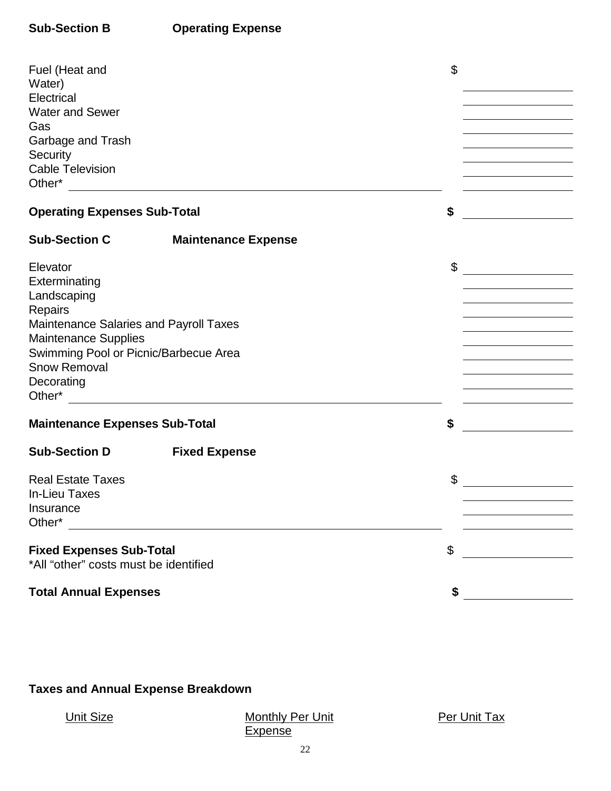## **Sub-Section B Operating Expense**

| Fuel (Heat and<br>Water)<br>Electrical<br><b>Water and Sewer</b><br>Gas<br>Garbage and Trash<br>Security<br><b>Cable Television</b><br><b>Operating Expenses Sub-Total</b>                                 |                            | \$<br>\$ |  |
|------------------------------------------------------------------------------------------------------------------------------------------------------------------------------------------------------------|----------------------------|----------|--|
| <b>Sub-Section C</b>                                                                                                                                                                                       | <b>Maintenance Expense</b> |          |  |
| Elevator<br>Exterminating<br>Landscaping<br>Repairs<br>Maintenance Salaries and Payroll Taxes<br><b>Maintenance Supplies</b><br>Swimming Pool or Picnic/Barbecue Area<br><b>Snow Removal</b><br>Decorating |                            | \$       |  |
| <b>Maintenance Expenses Sub-Total</b>                                                                                                                                                                      |                            | \$       |  |
| <b>Sub-Section D</b>                                                                                                                                                                                       | <b>Fixed Expense</b>       |          |  |
| <b>Real Estate Taxes</b><br><b>In-Lieu Taxes</b><br>Insurance<br>Other*                                                                                                                                    |                            | \$       |  |
| <b>Fixed Expenses Sub-Total</b>                                                                                                                                                                            |                            | \$       |  |
| *All "other" costs must be identified                                                                                                                                                                      |                            |          |  |
| <b>Total Annual Expenses</b>                                                                                                                                                                               |                            | \$       |  |

# **Taxes and Annual Expense Breakdown**

## Unit Size Monthly Per Unit **Expense**

Per Unit Tax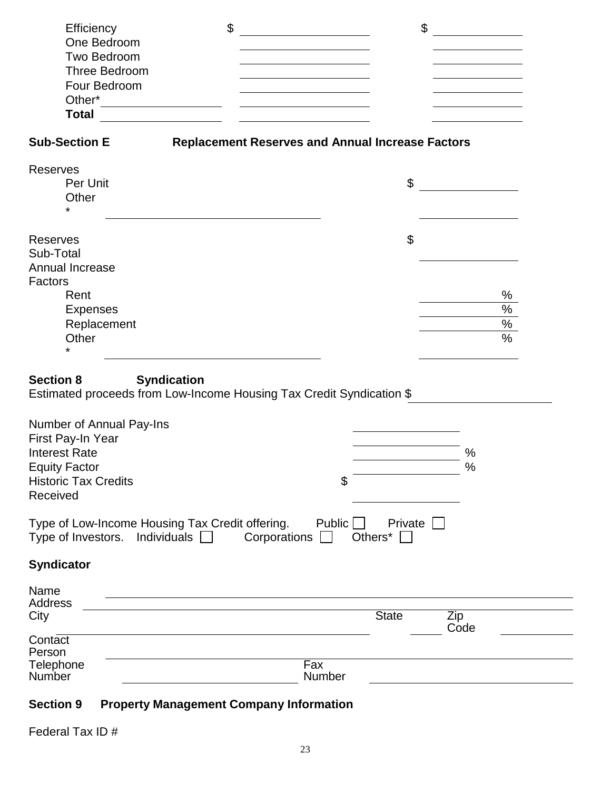| Efficiency                                                                                                     | $\boldsymbol{\mathsf{S}}$                               | \$                        |               |
|----------------------------------------------------------------------------------------------------------------|---------------------------------------------------------|---------------------------|---------------|
| One Bedroom                                                                                                    |                                                         |                           |               |
| Two Bedroom                                                                                                    |                                                         |                           |               |
| Three Bedroom                                                                                                  | <u> 1989 - Johann Stein, Amerikaansk politiker (</u>    |                           |               |
| Four Bedroom                                                                                                   |                                                         |                           |               |
| Total                                                                                                          | <u> 1989 - Johann Barbara, martin a</u>                 |                           |               |
|                                                                                                                |                                                         |                           |               |
| <b>Sub-Section E</b>                                                                                           | <b>Replacement Reserves and Annual Increase Factors</b> |                           |               |
| <b>Reserves</b>                                                                                                |                                                         |                           |               |
| Per Unit                                                                                                       |                                                         | \$                        |               |
| Other<br>*                                                                                                     |                                                         |                           |               |
| <b>Reserves</b>                                                                                                |                                                         | $\boldsymbol{\mathsf{S}}$ |               |
| Sub-Total                                                                                                      |                                                         |                           |               |
| Annual Increase                                                                                                |                                                         |                           |               |
| Factors                                                                                                        |                                                         |                           |               |
| Rent                                                                                                           |                                                         |                           | $\%$          |
| <b>Expenses</b>                                                                                                |                                                         |                           | $\%$          |
| Replacement                                                                                                    |                                                         |                           | $\%$          |
| Other<br>$\star$                                                                                               |                                                         |                           | $\frac{0}{6}$ |
| <b>Section 8</b><br><b>Syndication</b><br>Estimated proceeds from Low-Income Housing Tax Credit Syndication \$ |                                                         |                           |               |
| Number of Annual Pay-Ins<br>First Pay-In Year                                                                  |                                                         |                           |               |
| <b>Interest Rate</b>                                                                                           |                                                         |                           | %             |
| <b>Equity Factor</b>                                                                                           |                                                         |                           | $\%$          |
| <b>Historic Tax Credits</b>                                                                                    | \$                                                      |                           |               |
| Received                                                                                                       |                                                         |                           |               |
| Type of Low-Income Housing Tax Credit offering.<br>Type of Investors. Individuals $\Box$                       | Public<br>Corporations                                  | Private<br>Others*        |               |
| <b>Syndicator</b>                                                                                              |                                                         |                           |               |
| Name                                                                                                           |                                                         |                           |               |
| Address                                                                                                        |                                                         |                           |               |
| City                                                                                                           |                                                         | <b>State</b>              | Zip<br>Code   |
| Contact                                                                                                        |                                                         |                           |               |
| Person                                                                                                         |                                                         |                           |               |
| Telephone<br>Number                                                                                            | Fax<br>Number                                           |                           |               |
| <b>Section 9</b>                                                                                               | <b>Property Management Company Information</b>          |                           |               |
|                                                                                                                |                                                         |                           |               |

Federal Tax ID #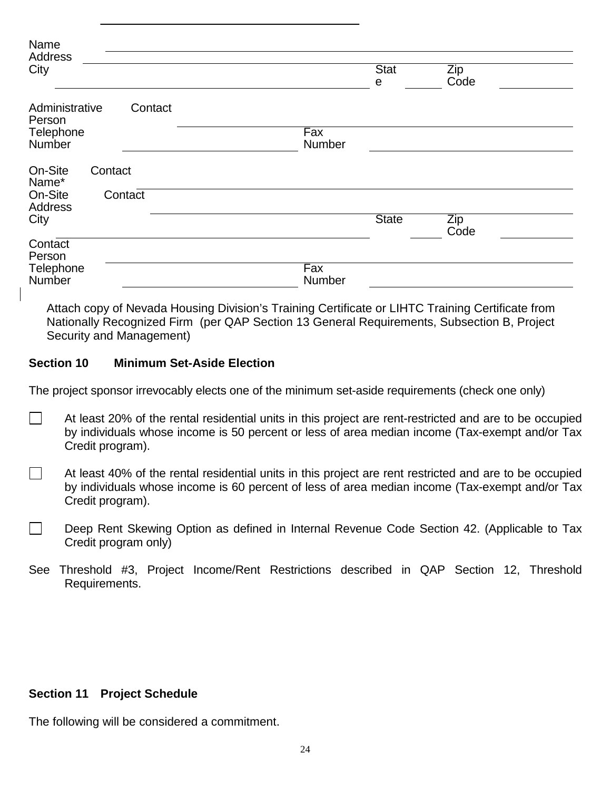| Name<br>Address<br>City                                           | <b>Stat</b><br>Zip<br>Code<br>е |
|-------------------------------------------------------------------|---------------------------------|
| Administrative<br>Contact<br>Person<br>Telephone<br><b>Number</b> | Fax<br>Number                   |
| On-Site<br>Contact<br>Name*<br>On-Site<br>Contact<br>Address      |                                 |
| City                                                              | <b>State</b><br>Zip<br>Code     |
| Contact<br>Person<br>Telephone<br><b>Number</b>                   | Fax<br>Number                   |

Attach copy of Nevada Housing Division's Training Certificate or LIHTC Training Certificate from Nationally Recognized Firm (per QAP Section 13 General Requirements, Subsection B, Project Security and Management)

#### **Section 10 Minimum Set-Aside Election**

The project sponsor irrevocably elects one of the minimum set-aside requirements (check one only)

- At least 20% of the rental residential units in this project are rent-restricted and are to be occupied  $\sim$ by individuals whose income is 50 percent or less of area median income (Tax-exempt and/or Tax Credit program).
- $\Box$ At least 40% of the rental residential units in this project are rent restricted and are to be occupied by individuals whose income is 60 percent of less of area median income (Tax-exempt and/or Tax Credit program).
- Deep Rent Skewing Option as defined in Internal Revenue Code Section 42. (Applicable to Tax Credit program only)
- See Threshold #3, Project Income/Rent Restrictions described in QAP Section 12, Threshold Requirements.

#### **Section 11 Project Schedule**

The following will be considered a commitment.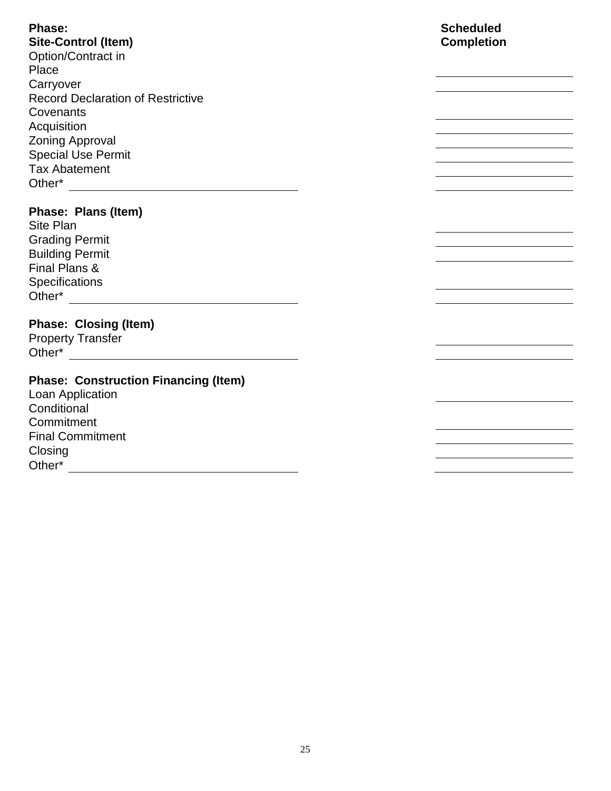**Phase: Site-Control (Item)** Option/Contract in Place **Carryover** Record Declaration of Restrictive **Covenants Acquisition** Zoning Approval Special Use Permit Tax Abatement Other\* **Output** 

## **Phase: Plans (Item)**

Site Plan Grading Permit Building Permit Final Plans & **Specifications** Other\*

## **Phase: Closing (Item)**

Property Transfer Other\*

## **Phase: Construction Financing (Item)**

Loan Application **Conditional Commitment** Final Commitment Closing Other\*

## **Scheduled Completion**

<u> 1989 - Johann Stoff, Amerikaansk politiker (</u>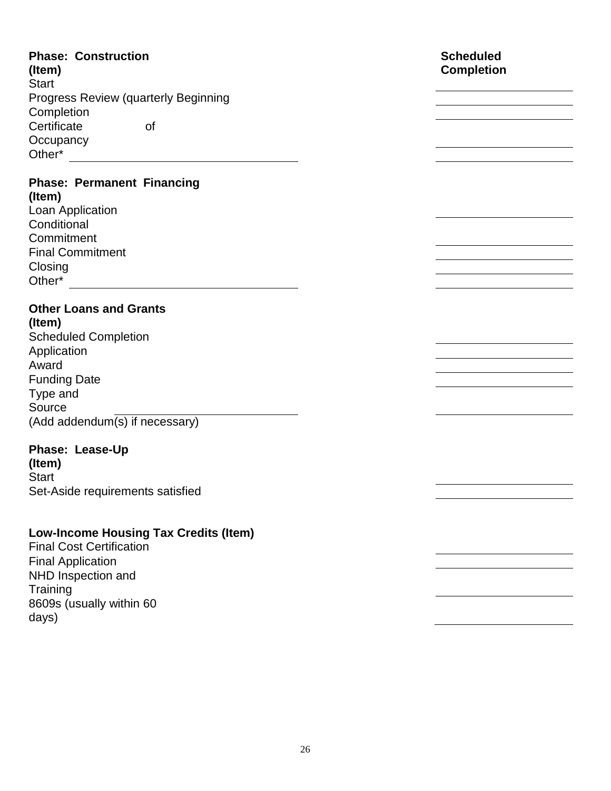| <b>Phase: Construction</b><br>(Item)         | <b>Scheduled</b><br><b>Completion</b> |
|----------------------------------------------|---------------------------------------|
| <b>Start</b>                                 |                                       |
| <b>Progress Review (quarterly Beginning</b>  |                                       |
| Completion                                   |                                       |
| Certificate<br><b>of</b>                     |                                       |
| Occupancy                                    |                                       |
| Other*                                       |                                       |
|                                              |                                       |
| <b>Phase: Permanent Financing</b><br>(Item)  |                                       |
| Loan Application                             |                                       |
| Conditional                                  |                                       |
| Commitment                                   |                                       |
| <b>Final Commitment</b>                      |                                       |
| Closing                                      |                                       |
|                                              |                                       |
|                                              |                                       |
| <b>Other Loans and Grants</b>                |                                       |
| (Item)                                       |                                       |
| <b>Scheduled Completion</b>                  |                                       |
| Application                                  |                                       |
| Award                                        |                                       |
| <b>Funding Date</b>                          |                                       |
| Type and                                     |                                       |
| Source                                       |                                       |
| (Add addendum(s) if necessary)               |                                       |
| Phase: Lease-Up                              |                                       |
| (Item)                                       |                                       |
| <b>Start</b>                                 |                                       |
| Set-Aside requirements satisfied             |                                       |
|                                              |                                       |
|                                              |                                       |
| <b>Low-Income Housing Tax Credits (Item)</b> |                                       |
| <b>Final Cost Certification</b>              |                                       |

Final Application NHD Inspection and Training 8609s (usually within 60 days)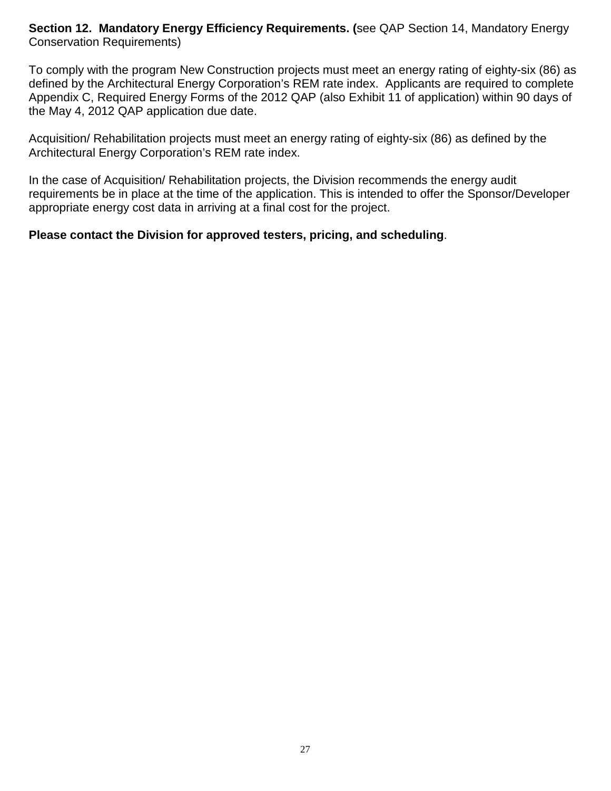**Section 12. Mandatory Energy Efficiency Requirements. (**see QAP Section 14, Mandatory Energy Conservation Requirements)

To comply with the program New Construction projects must meet an energy rating of eighty-six (86) as defined by the Architectural Energy Corporation's REM rate index. Applicants are required to complete Appendix C, Required Energy Forms of the 2012 QAP (also Exhibit 11 of application) within 90 days of the May 4, 2012 QAP application due date.

Acquisition/ Rehabilitation projects must meet an energy rating of eighty-six (86) as defined by the Architectural Energy Corporation's REM rate index.

In the case of Acquisition/ Rehabilitation projects, the Division recommends the energy audit requirements be in place at the time of the application. This is intended to offer the Sponsor/Developer appropriate energy cost data in arriving at a final cost for the project.

## **Please contact the Division for approved testers, pricing, and scheduling**.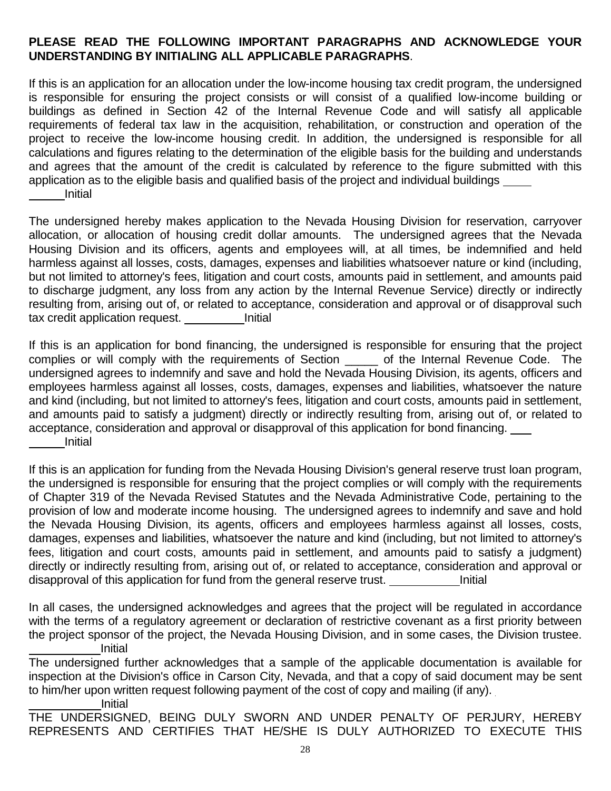#### **PLEASE READ THE FOLLOWING IMPORTANT PARAGRAPHS AND ACKNOWLEDGE YOUR UNDERSTANDING BY INITIALING ALL APPLICABLE PARAGRAPHS**.

If this is an application for an allocation under the low-income housing tax credit program, the undersigned is responsible for ensuring the project consists or will consist of a qualified low-income building or buildings as defined in Section 42 of the Internal Revenue Code and will satisfy all applicable requirements of federal tax law in the acquisition, rehabilitation, or construction and operation of the project to receive the low-income housing credit. In addition, the undersigned is responsible for all calculations and figures relating to the determination of the eligible basis for the building and understands and agrees that the amount of the credit is calculated by reference to the figure submitted with this application as to the eligible basis and qualified basis of the project and individual buildings Initial

The undersigned hereby makes application to the Nevada Housing Division for reservation, carryover allocation, or allocation of housing credit dollar amounts. The undersigned agrees that the Nevada Housing Division and its officers, agents and employees will, at all times, be indemnified and held harmless against all losses, costs, damages, expenses and liabilities whatsoever nature or kind (including, but not limited to attorney's fees, litigation and court costs, amounts paid in settlement, and amounts paid to discharge judgment, any loss from any action by the Internal Revenue Service) directly or indirectly resulting from, arising out of, or related to acceptance, consideration and approval or of disapproval such tax credit application request. Initial

If this is an application for bond financing, the undersigned is responsible for ensuring that the project complies or will comply with the requirements of Section \_\_\_\_\_ of the Internal Revenue Code. The undersigned agrees to indemnify and save and hold the Nevada Housing Division, its agents, officers and employees harmless against all losses, costs, damages, expenses and liabilities, whatsoever the nature and kind (including, but not limited to attorney's fees, litigation and court costs, amounts paid in settlement, and amounts paid to satisfy a judgment) directly or indirectly resulting from, arising out of, or related to acceptance, consideration and approval or disapproval of this application for bond financing. Initial

If this is an application for funding from the Nevada Housing Division's general reserve trust loan program, the undersigned is responsible for ensuring that the project complies or will comply with the requirements of Chapter 319 of the Nevada Revised Statutes and the Nevada Administrative Code, pertaining to the provision of low and moderate income housing. The undersigned agrees to indemnify and save and hold the Nevada Housing Division, its agents, officers and employees harmless against all losses, costs, damages, expenses and liabilities, whatsoever the nature and kind (including, but not limited to attorney's fees, litigation and court costs, amounts paid in settlement, and amounts paid to satisfy a judgment) directly or indirectly resulting from, arising out of, or related to acceptance, consideration and approval or disapproval of this application for fund from the general reserve trust.

In all cases, the undersigned acknowledges and agrees that the project will be regulated in accordance with the terms of a regulatory agreement or declaration of restrictive covenant as a first priority between the project sponsor of the project, the Nevada Housing Division, and in some cases, the Division trustee. Initial

The undersigned further acknowledges that a sample of the applicable documentation is available for inspection at the Division's office in Carson City, Nevada, and that a copy of said document may be sent to him/her upon written request following payment of the cost of copy and mailing (if any). \_\_\_\_\_\_\_\_\_\_\_Initial

THE UNDERSIGNED, BEING DULY SWORN AND UNDER PENALTY OF PERJURY, HEREBY REPRESENTS AND CERTIFIES THAT HE/SHE IS DULY AUTHORIZED TO EXECUTE THIS